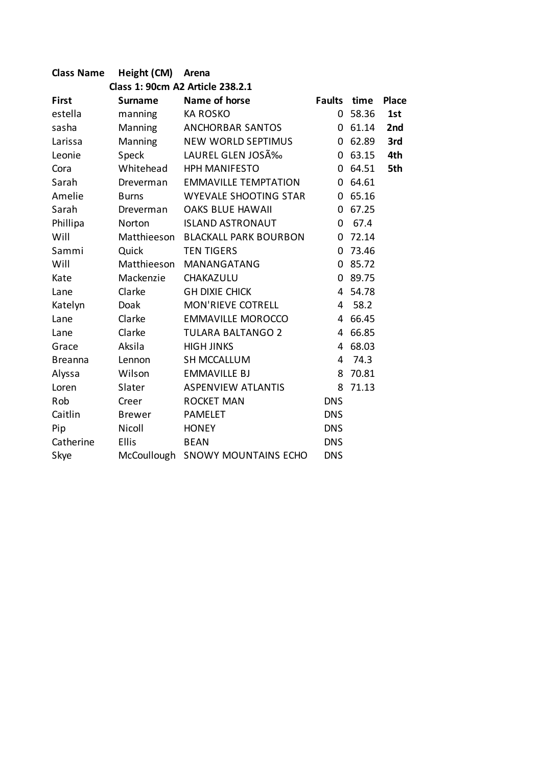| <b>Class Name</b>                | Height (CM)    | Arena                        |               |       |              |  |  |  |
|----------------------------------|----------------|------------------------------|---------------|-------|--------------|--|--|--|
| Class 1: 90cm A2 Article 238.2.1 |                |                              |               |       |              |  |  |  |
| <b>First</b>                     | <b>Surname</b> | Name of horse                | <b>Faults</b> | time  | <b>Place</b> |  |  |  |
| estella                          | manning        | <b>KA ROSKO</b>              | 0             | 58.36 | 1st          |  |  |  |
| sasha                            | Manning        | <b>ANCHORBAR SANTOS</b>      | 0             | 61.14 | 2nd          |  |  |  |
| Larissa                          | Manning        | <b>NEW WORLD SEPTIMUS</b>    | 0             | 62.89 | 3rd          |  |  |  |
| Leonie                           | Speck          | LAUREL GLEN JOSÉ             | $\Omega$      | 63.15 | 4th          |  |  |  |
| Cora                             | Whitehead      | <b>HPH MANIFESTO</b>         | $\Omega$      | 64.51 | 5th          |  |  |  |
| Sarah                            | Dreverman      | <b>EMMAVILLE TEMPTATION</b>  | 0             | 64.61 |              |  |  |  |
| Amelie                           | <b>Burns</b>   | WYEVALE SHOOTING STAR        | 0             | 65.16 |              |  |  |  |
| Sarah                            | Dreverman      | <b>OAKS BLUE HAWAII</b>      | $\Omega$      | 67.25 |              |  |  |  |
| Phillipa                         | Norton         | <b>ISLAND ASTRONAUT</b>      | 0             | 67.4  |              |  |  |  |
| Will                             | Matthieeson    | <b>BLACKALL PARK BOURBON</b> | $\Omega$      | 72.14 |              |  |  |  |
| Sammi                            | Quick          | <b>TEN TIGERS</b>            | $\Omega$      | 73.46 |              |  |  |  |
| Will                             | Matthieeson    | <b>MANANGATANG</b>           | $\Omega$      | 85.72 |              |  |  |  |
| Kate                             | Mackenzie      | CHAKAZULU                    | 0             | 89.75 |              |  |  |  |
| Lane                             | Clarke         | <b>GH DIXIE CHICK</b>        | 4             | 54.78 |              |  |  |  |
| Katelyn                          | Doak           | <b>MON'RIEVE COTRELL</b>     | 4             | 58.2  |              |  |  |  |
| Lane                             | Clarke         | <b>EMMAVILLE MOROCCO</b>     | 4             | 66.45 |              |  |  |  |
| Lane                             | Clarke         | <b>TULARA BALTANGO 2</b>     | 4             | 66.85 |              |  |  |  |
| Grace                            | Aksila         | <b>HIGH JINKS</b>            | 4             | 68.03 |              |  |  |  |
| <b>Breanna</b>                   | Lennon         | <b>SH MCCALLUM</b>           | 4             | 74.3  |              |  |  |  |
| Alyssa                           | Wilson         | <b>EMMAVILLE BJ</b>          | 8             | 70.81 |              |  |  |  |
| Loren                            | Slater         | <b>ASPENVIEW ATLANTIS</b>    | 8             | 71.13 |              |  |  |  |
| Rob                              | Creer          | <b>ROCKET MAN</b>            | <b>DNS</b>    |       |              |  |  |  |
| Caitlin                          | <b>Brewer</b>  | <b>PAMELET</b>               | <b>DNS</b>    |       |              |  |  |  |
| Pip                              | Nicoll         | <b>HONEY</b>                 | <b>DNS</b>    |       |              |  |  |  |
| Catherine                        | <b>Ellis</b>   | <b>BEAN</b>                  | <b>DNS</b>    |       |              |  |  |  |
| Skye                             | McCoullough    | <b>SNOWY MOUNTAINS ECHO</b>  | <b>DNS</b>    |       |              |  |  |  |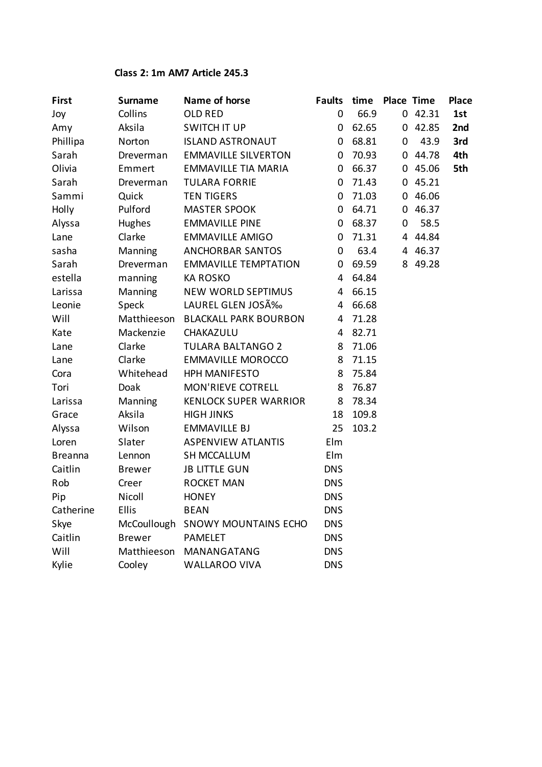## **Class 2: 1m AM7 Article 245.3**

| <b>First</b>   | <b>Surname</b> | Name of horse                | <b>Faults</b> | time  | <b>Place Time</b> |         | <b>Place</b> |
|----------------|----------------|------------------------------|---------------|-------|-------------------|---------|--------------|
| Joy            | Collins        | <b>OLD RED</b>               | 0             | 66.9  |                   | 042.31  | 1st          |
| Amy            | Aksila         | <b>SWITCH IT UP</b>          | 0             | 62.65 |                   | 042.85  | 2nd          |
| Phillipa       | Norton         | <b>ISLAND ASTRONAUT</b>      | 0             | 68.81 | 0                 | 43.9    | 3rd          |
| Sarah          | Dreverman      | <b>EMMAVILLE SILVERTON</b>   | 0             | 70.93 | 0                 | 44.78   | 4th          |
| Olivia         | Emmert         | <b>EMMAVILLE TIA MARIA</b>   | 0             | 66.37 | $\mathbf{0}$      | 45.06   | 5th          |
| Sarah          | Dreverman      | <b>TULARA FORRIE</b>         | 0             | 71.43 | 0                 | 45.21   |              |
| Sammi          | Quick          | <b>TEN TIGERS</b>            | 0             | 71.03 | 0                 | 46.06   |              |
| Holly          | Pulford        | <b>MASTER SPOOK</b>          | 0             | 64.71 | 0                 | 46.37   |              |
| Alyssa         | Hughes         | <b>EMMAVILLE PINE</b>        | 0             | 68.37 | 0                 | 58.5    |              |
| Lane           | Clarke         | <b>EMMAVILLE AMIGO</b>       | 0             | 71.31 |                   | 4 44.84 |              |
| sasha          | Manning        | ANCHORBAR SANTOS             | 0             | 63.4  | 4                 | 46.37   |              |
| Sarah          | Dreverman      | <b>EMMAVILLE TEMPTATION</b>  | 0             | 69.59 |                   | 8 49.28 |              |
| estella        | manning        | <b>KA ROSKO</b>              | 4             | 64.84 |                   |         |              |
| Larissa        | Manning        | <b>NEW WORLD SEPTIMUS</b>    | 4             | 66.15 |                   |         |              |
| Leonie         | Speck          | LAUREL GLEN JOSÉ             | 4             | 66.68 |                   |         |              |
| Will           | Matthieeson    | <b>BLACKALL PARK BOURBON</b> | 4             | 71.28 |                   |         |              |
| Kate           | Mackenzie      | CHAKAZULU                    | 4             | 82.71 |                   |         |              |
| Lane           | Clarke         | <b>TULARA BALTANGO 2</b>     | 8             | 71.06 |                   |         |              |
| Lane           | Clarke         | <b>EMMAVILLE MOROCCO</b>     | 8             | 71.15 |                   |         |              |
| Cora           | Whitehead      | <b>HPH MANIFESTO</b>         | 8             | 75.84 |                   |         |              |
| Tori           | Doak           | <b>MON'RIEVE COTRELL</b>     | 8             | 76.87 |                   |         |              |
| Larissa        | Manning        | <b>KENLOCK SUPER WARRIOR</b> | 8             | 78.34 |                   |         |              |
| Grace          | Aksila         | <b>HIGH JINKS</b>            | 18            | 109.8 |                   |         |              |
| Alyssa         | Wilson         | <b>EMMAVILLE BJ</b>          | 25            | 103.2 |                   |         |              |
| Loren          | Slater         | <b>ASPENVIEW ATLANTIS</b>    | Elm           |       |                   |         |              |
| <b>Breanna</b> | Lennon         | <b>SH MCCALLUM</b>           | Elm           |       |                   |         |              |
| Caitlin        | <b>Brewer</b>  | <b>JB LITTLE GUN</b>         | <b>DNS</b>    |       |                   |         |              |
| Rob            | Creer          | <b>ROCKET MAN</b>            | <b>DNS</b>    |       |                   |         |              |
| Pip            | Nicoll         | <b>HONEY</b>                 | <b>DNS</b>    |       |                   |         |              |
| Catherine      | <b>Ellis</b>   | <b>BEAN</b>                  | <b>DNS</b>    |       |                   |         |              |
| Skye           | McCoullough    | <b>SNOWY MOUNTAINS ECHO</b>  | <b>DNS</b>    |       |                   |         |              |
| Caitlin        | <b>Brewer</b>  | <b>PAMELET</b>               | <b>DNS</b>    |       |                   |         |              |
| Will           | Matthieeson    | MANANGATANG                  | <b>DNS</b>    |       |                   |         |              |
| Kylie          | Cooley         | <b>WALLAROO VIVA</b>         | <b>DNS</b>    |       |                   |         |              |
|                |                |                              |               |       |                   |         |              |